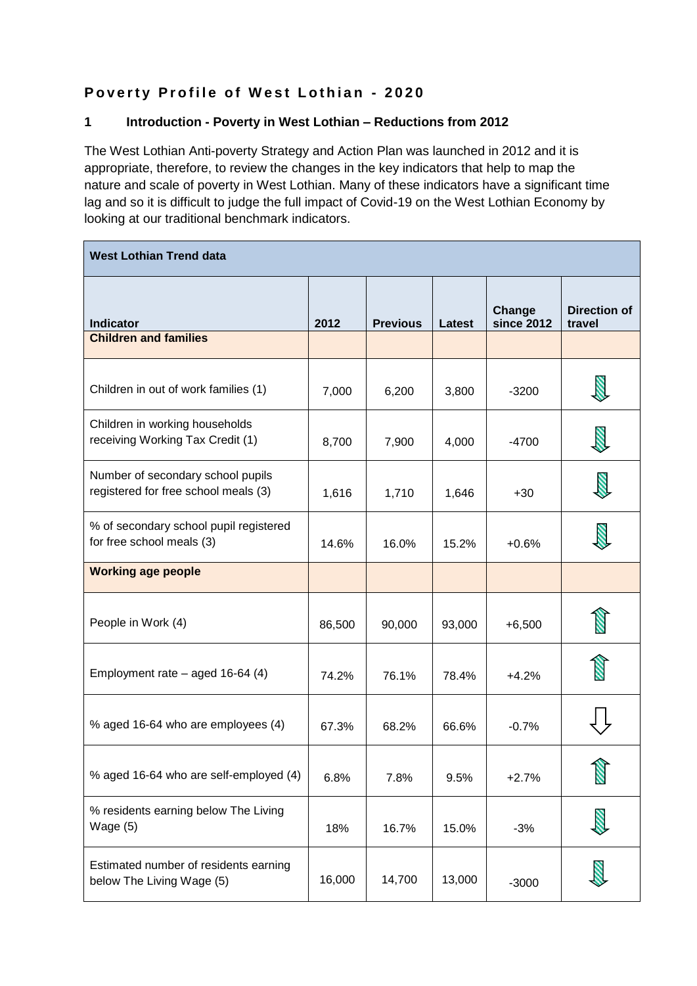# **Poverty Profile of West Lothian - 2020**

## **1 Introduction - Poverty in West Lothian – Reductions from 2012**

The West Lothian Anti-poverty Strategy and Action Plan was launched in 2012 and it is appropriate, therefore, to review the changes in the key indicators that help to map the nature and scale of poverty in West Lothian. Many of these indicators have a significant time lag and so it is difficult to judge the full impact of Covid-19 on the West Lothian Economy by looking at our traditional benchmark indicators.

| <b>West Lothian Trend data</b>                                            |        |                 |        |                             |                               |  |  |
|---------------------------------------------------------------------------|--------|-----------------|--------|-----------------------------|-------------------------------|--|--|
| <b>Indicator</b>                                                          | 2012   | <b>Previous</b> | Latest | Change<br><b>since 2012</b> | <b>Direction of</b><br>travel |  |  |
| <b>Children and families</b>                                              |        |                 |        |                             |                               |  |  |
| Children in out of work families (1)                                      | 7,000  | 6,200           | 3,800  | $-3200$                     |                               |  |  |
| Children in working households<br>receiving Working Tax Credit (1)        | 8,700  | 7,900           | 4,000  | $-4700$                     |                               |  |  |
| Number of secondary school pupils<br>registered for free school meals (3) | 1,616  | 1,710           | 1,646  | $+30$                       |                               |  |  |
| % of secondary school pupil registered<br>for free school meals (3)       | 14.6%  | 16.0%           | 15.2%  | $+0.6%$                     |                               |  |  |
| <b>Working age people</b>                                                 |        |                 |        |                             |                               |  |  |
| People in Work (4)                                                        | 86,500 | 90,000          | 93,000 | $+6,500$                    |                               |  |  |
| Employment rate $-$ aged 16-64 (4)                                        | 74.2%  | 76.1%           | 78.4%  | $+4.2%$                     |                               |  |  |
| % aged 16-64 who are employees (4)                                        | 67.3%  | 68.2%           | 66.6%  | $-0.7%$                     |                               |  |  |
| % aged 16-64 who are self-employed (4)                                    | 6.8%   | 7.8%            | 9.5%   | $+2.7%$                     | S.                            |  |  |
| % residents earning below The Living<br>Wage $(5)$                        | 18%    | 16.7%           | 15.0%  | $-3%$                       |                               |  |  |
| Estimated number of residents earning<br>below The Living Wage (5)        | 16,000 | 14,700          | 13,000 | $-3000$                     |                               |  |  |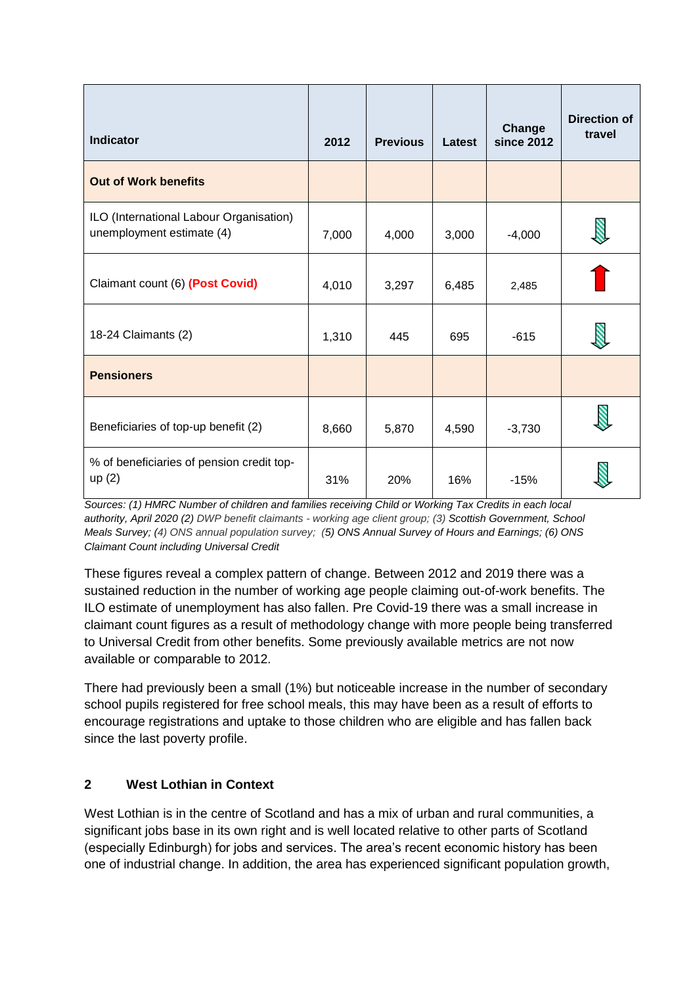| <b>Indicator</b>                                                     | 2012  | <b>Previous</b> | Latest | Change<br><b>since 2012</b> | <b>Direction of</b><br>travel |
|----------------------------------------------------------------------|-------|-----------------|--------|-----------------------------|-------------------------------|
| <b>Out of Work benefits</b>                                          |       |                 |        |                             |                               |
| ILO (International Labour Organisation)<br>unemployment estimate (4) | 7,000 | 4,000           | 3,000  | $-4,000$                    |                               |
| Claimant count (6) (Post Covid)                                      | 4,010 | 3,297           | 6,485  | 2,485                       |                               |
| 18-24 Claimants (2)                                                  | 1,310 | 445             | 695    | $-615$                      |                               |
| <b>Pensioners</b>                                                    |       |                 |        |                             |                               |
| Beneficiaries of top-up benefit (2)                                  | 8,660 | 5,870           | 4,590  | $-3,730$                    |                               |
| % of beneficiaries of pension credit top-<br>up(2)                   | 31%   | 20%             | 16%    | $-15%$                      |                               |

*Sources: (1) HMRC Number of children and families receiving Child or Working Tax Credits in each local authority, April 2020 (2) DWP benefit claimants - working age client group; (3) Scottish Government, School Meals Survey; (4) ONS annual population survey; (5) ONS Annual Survey of Hours and Earnings; (6) ONS Claimant Count including Universal Credit*

These figures reveal a complex pattern of change. Between 2012 and 2019 there was a sustained reduction in the number of working age people claiming out-of-work benefits. The ILO estimate of unemployment has also fallen. Pre Covid-19 there was a small increase in claimant count figures as a result of methodology change with more people being transferred to Universal Credit from other benefits. Some previously available metrics are not now available or comparable to 2012.

There had previously been a small (1%) but noticeable increase in the number of secondary school pupils registered for free school meals, this may have been as a result of efforts to encourage registrations and uptake to those children who are eligible and has fallen back since the last poverty profile.

# **2 West Lothian in Context**

West Lothian is in the centre of Scotland and has a mix of urban and rural communities, a significant jobs base in its own right and is well located relative to other parts of Scotland (especially Edinburgh) for jobs and services. The area's recent economic history has been one of industrial change. In addition, the area has experienced significant population growth,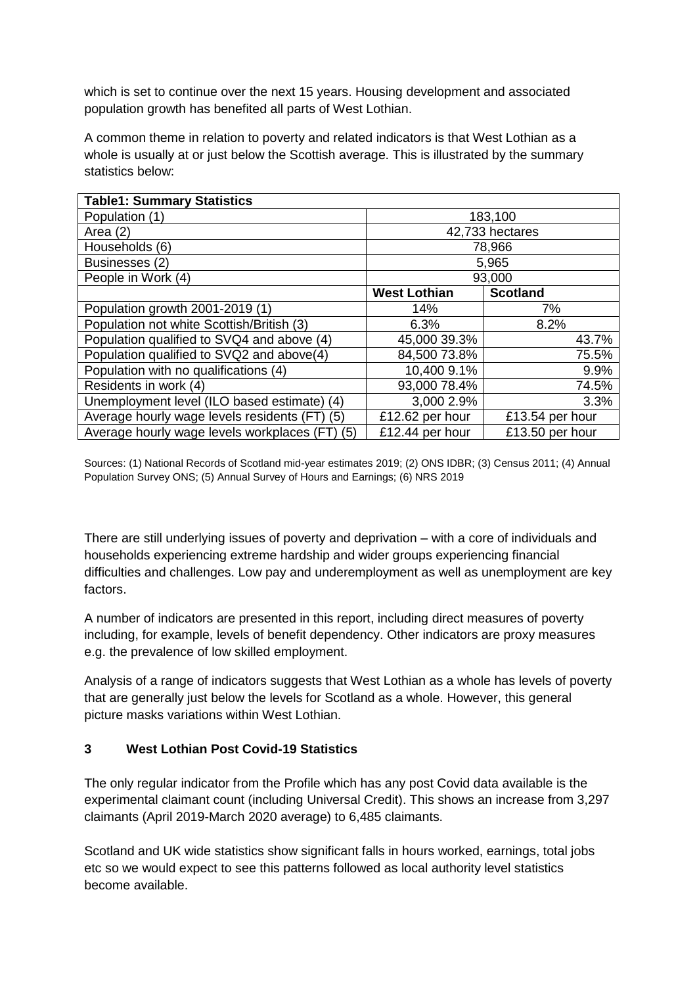which is set to continue over the next 15 years. Housing development and associated population growth has benefited all parts of West Lothian.

A common theme in relation to poverty and related indicators is that West Lothian as a whole is usually at or just below the Scottish average. This is illustrated by the summary statistics below:

| <b>Table1: Summary Statistics</b>                 |                     |                 |  |  |
|---------------------------------------------------|---------------------|-----------------|--|--|
| Population (1)                                    | 183,100             |                 |  |  |
| Area $(2)$                                        |                     | 42,733 hectares |  |  |
| Households (6)                                    |                     | 78,966          |  |  |
| Businesses (2)                                    |                     | 5,965           |  |  |
| People in Work (4)                                | 93,000              |                 |  |  |
|                                                   | <b>West Lothian</b> | <b>Scotland</b> |  |  |
| Population growth 2001-2019 (1)                   | 14%                 | 7%              |  |  |
| Population not white Scottish/British (3)         | 6.3%                | 8.2%            |  |  |
| Population qualified to SVQ4 and above (4)        | 45,000 39.3%        | 43.7%           |  |  |
| Population qualified to SVQ2 and above(4)         | 84,500 73.8%        | 75.5%           |  |  |
| Population with no qualifications (4)             | 10,400 9.1%         | 9.9%            |  |  |
| Residents in work (4)                             | 93,000 78.4%        | 74.5%           |  |  |
| Unemployment level (ILO based estimate) (4)       | 3,000 2.9%          | 3.3%            |  |  |
| Average hourly wage levels residents (FT) (5)     | £12.62 per hour     | £13.54 per hour |  |  |
| Average hourly wage levels workplaces (FT)<br>(5) | £12.44 per hour     | £13.50 per hour |  |  |

Sources: (1) National Records of Scotland mid-year estimates 2019; (2) ONS IDBR; (3) Census 2011; (4) Annual Population Survey ONS; (5) Annual Survey of Hours and Earnings; (6) NRS 2019

There are still underlying issues of poverty and deprivation – with a core of individuals and households experiencing extreme hardship and wider groups experiencing financial difficulties and challenges. Low pay and underemployment as well as unemployment are key factors.

A number of indicators are presented in this report, including direct measures of poverty including, for example, levels of benefit dependency. Other indicators are proxy measures e.g. the prevalence of low skilled employment.

Analysis of a range of indicators suggests that West Lothian as a whole has levels of poverty that are generally just below the levels for Scotland as a whole. However, this general picture masks variations within West Lothian.

# **3 West Lothian Post Covid-19 Statistics**

The only regular indicator from the Profile which has any post Covid data available is the experimental claimant count (including Universal Credit). This shows an increase from 3,297 claimants (April 2019-March 2020 average) to 6,485 claimants.

Scotland and UK wide statistics show significant falls in hours worked, earnings, total jobs etc so we would expect to see this patterns followed as local authority level statistics become available.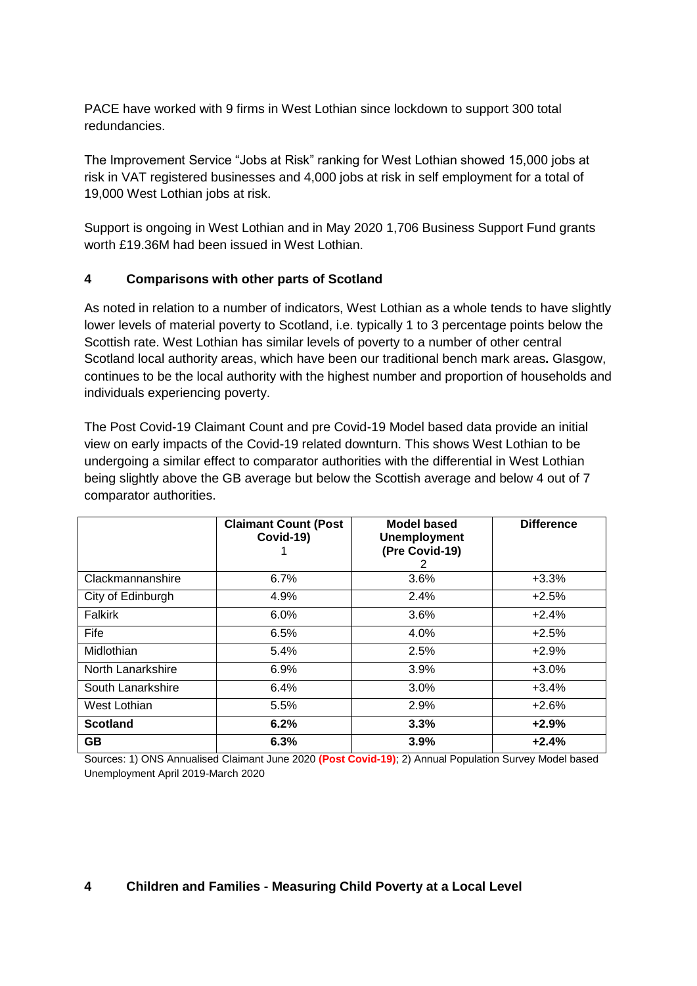PACE have worked with 9 firms in West Lothian since lockdown to support 300 total redundancies.

The Improvement Service "Jobs at Risk" ranking for West Lothian showed 15,000 jobs at risk in VAT registered businesses and 4,000 jobs at risk in self employment for a total of 19,000 West Lothian jobs at risk.

Support is ongoing in West Lothian and in May 2020 1,706 Business Support Fund grants worth £19.36M had been issued in West Lothian.

### **4 Comparisons with other parts of Scotland**

As noted in relation to a number of indicators, West Lothian as a whole tends to have slightly lower levels of material poverty to Scotland, i.e. typically 1 to 3 percentage points below the Scottish rate. West Lothian has similar levels of poverty to a number of other central Scotland local authority areas, which have been our traditional bench mark areas**.** Glasgow, continues to be the local authority with the highest number and proportion of households and individuals experiencing poverty.

The Post Covid-19 Claimant Count and pre Covid-19 Model based data provide an initial view on early impacts of the Covid-19 related downturn. This shows West Lothian to be undergoing a similar effect to comparator authorities with the differential in West Lothian being slightly above the GB average but below the Scottish average and below 4 out of 7 comparator authorities.

|                   | <b>Claimant Count (Post</b><br>Covid-19) | <b>Model based</b><br><b>Unemployment</b><br>(Pre Covid-19)<br>$\overline{2}$ | <b>Difference</b> |
|-------------------|------------------------------------------|-------------------------------------------------------------------------------|-------------------|
| Clackmannanshire  | 6.7%                                     | 3.6%                                                                          | $+3.3%$           |
| City of Edinburgh | 4.9%                                     | 2.4%                                                                          | $+2.5%$           |
| Falkirk           | 6.0%                                     | 3.6%                                                                          | $+2.4%$           |
| Fife              | 6.5%                                     | 4.0%                                                                          | $+2.5%$           |
| Midlothian        | 5.4%                                     | 2.5%                                                                          | $+2.9%$           |
| North Lanarkshire | 6.9%                                     | 3.9%                                                                          | $+3.0%$           |
| South Lanarkshire | 6.4%                                     | 3.0%                                                                          | $+3.4%$           |
| West Lothian      | 5.5%                                     | 2.9%                                                                          | $+2.6%$           |
| <b>Scotland</b>   | 6.2%                                     | 3.3%                                                                          | $+2.9%$           |
| <b>GB</b>         | 6.3%                                     | 3.9%                                                                          | $+2.4%$           |

Sources: 1) ONS Annualised Claimant June 2020 **(Post Covid-19)**; 2) Annual Population Survey Model based Unemployment April 2019-March 2020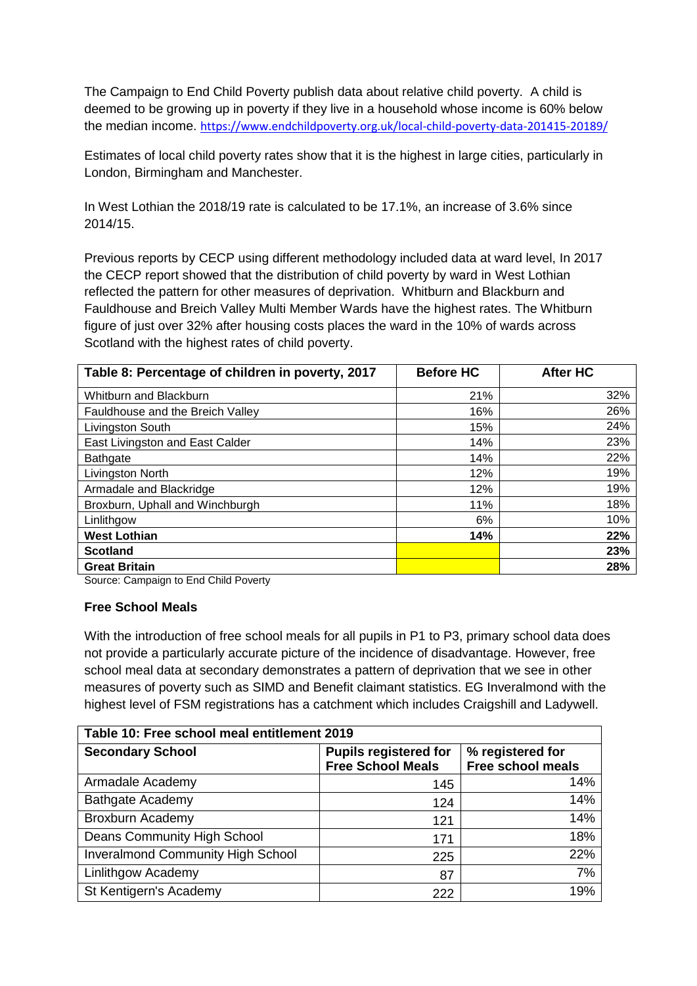The Campaign to End Child Poverty publish data about relative child poverty. A child is deemed to be growing up in poverty if they live in a household whose income is 60% below the median income. <https://www.endchildpoverty.org.uk/local-child-poverty-data-201415-20189/>

Estimates of local child poverty rates show that it is the highest in large cities, particularly in London, Birmingham and Manchester.

In West Lothian the 2018/19 rate is calculated to be 17.1%, an increase of 3.6% since 2014/15.

Previous reports by CECP using different methodology included data at ward level, In 2017 the CECP report showed that the distribution of child poverty by ward in West Lothian reflected the pattern for other measures of deprivation. Whitburn and Blackburn and Fauldhouse and Breich Valley Multi Member Wards have the highest rates. The Whitburn figure of just over 32% after housing costs places the ward in the 10% of wards across Scotland with the highest rates of child poverty.

| Table 8: Percentage of children in poverty, 2017 | <b>Before HC</b> | <b>After HC</b> |
|--------------------------------------------------|------------------|-----------------|
| Whitburn and Blackburn                           | 21%              | 32%             |
| Fauldhouse and the Breich Valley                 | 16%              | 26%             |
| Livingston South                                 | 15%              | 24%             |
| East Livingston and East Calder                  | 14%              | 23%             |
| <b>Bathgate</b>                                  | 14%              | 22%             |
| Livingston North                                 | 12%              | 19%             |
| Armadale and Blackridge                          | 12%              | 19%             |
| Broxburn, Uphall and Winchburgh                  | 11%              | 18%             |
| Linlithgow                                       | 6%               | 10%             |
| <b>West Lothian</b>                              | 14%              | 22%             |
| <b>Scotland</b>                                  |                  | 23%             |
| <b>Great Britain</b>                             |                  | 28%             |

Source: Campaign to End Child Poverty

#### **Free School Meals**

With the introduction of free school meals for all pupils in P1 to P3, primary school data does not provide a particularly accurate picture of the incidence of disadvantage. However, free school meal data at secondary demonstrates a pattern of deprivation that we see in other measures of poverty such as SIMD and Benefit claimant statistics. EG Inveralmond with the highest level of FSM registrations has a catchment which includes Craigshill and Ladywell.

| Table 10: Free school meal entitlement 2019 |                              |                          |  |  |  |  |
|---------------------------------------------|------------------------------|--------------------------|--|--|--|--|
| <b>Secondary School</b>                     | <b>Pupils registered for</b> | % registered for         |  |  |  |  |
|                                             | <b>Free School Meals</b>     | <b>Free school meals</b> |  |  |  |  |
| Armadale Academy                            | 145                          | 14%                      |  |  |  |  |
| <b>Bathgate Academy</b>                     | 124                          | 14%                      |  |  |  |  |
| Broxburn Academy                            | 121                          | 14%                      |  |  |  |  |
| <b>Deans Community High School</b>          | 171                          | 18%                      |  |  |  |  |
| <b>Inveralmond Community High School</b>    | 225                          | 22%                      |  |  |  |  |
| Linlithgow Academy                          | 87                           | 7%                       |  |  |  |  |
| St Kentigern's Academy                      | 222                          | 19%                      |  |  |  |  |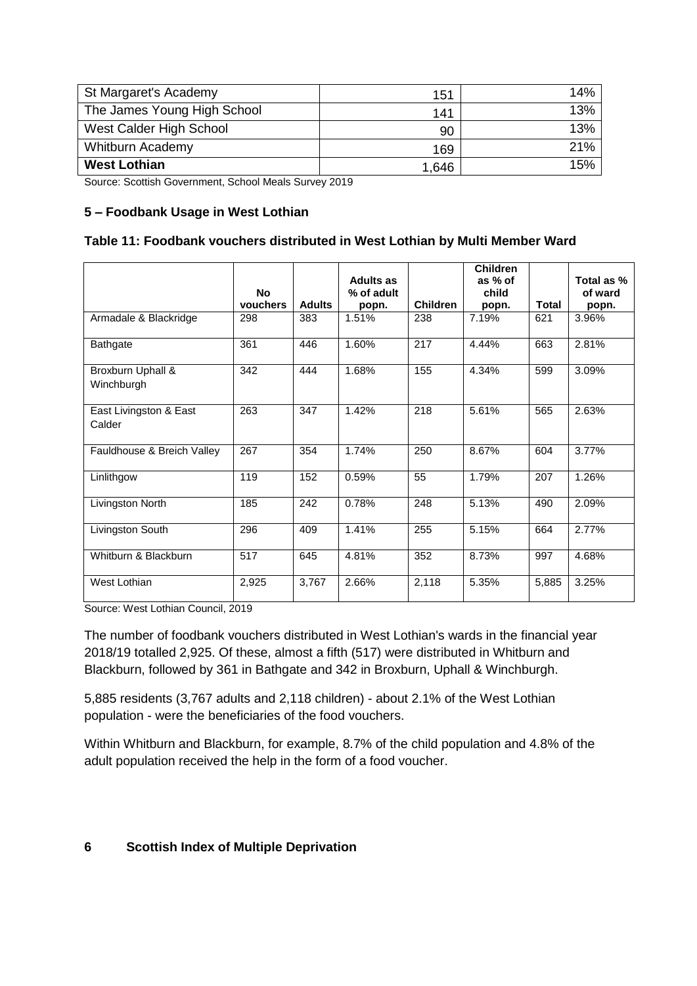| St Margaret's Academy       | 151   | 14% |
|-----------------------------|-------|-----|
| The James Young High School | 141   | 13% |
| West Calder High School     | 90    | 13% |
| <b>Whitburn Academy</b>     | 169   | 21% |
| <b>West Lothian</b>         | 1,646 | 15% |

Source: Scottish Government, School Meals Survey 2019

### **5 – Foodbank Usage in West Lothian**

#### **Table 11: Foodbank vouchers distributed in West Lothian by Multi Member Ward**

|                                  | <b>No</b> |               | <b>Adults as</b><br>% of adult |                 | <b>Children</b><br>as % of<br>child |              | Total as %<br>of ward |
|----------------------------------|-----------|---------------|--------------------------------|-----------------|-------------------------------------|--------------|-----------------------|
|                                  | vouchers  | <b>Adults</b> | popn.                          | <b>Children</b> | popn.                               | <b>Total</b> | popn.                 |
| Armadale & Blackridge            | 298       | 383           | 1.51%                          | 238             | 7.19%                               | 621          | 3.96%                 |
| <b>Bathgate</b>                  | 361       | 446           | 1.60%                          | 217             | 4.44%                               | 663          | 2.81%                 |
| Broxburn Uphall &<br>Winchburgh  | 342       | 444           | 1.68%                          | 155             | 4.34%                               | 599          | 3.09%                 |
| East Livingston & East<br>Calder | 263       | 347           | 1.42%                          | 218             | 5.61%                               | 565          | 2.63%                 |
| Fauldhouse & Breich Valley       | 267       | 354           | 1.74%                          | 250             | 8.67%                               | 604          | 3.77%                 |
| Linlithgow                       | 119       | 152           | 0.59%                          | 55              | 1.79%                               | 207          | 1.26%                 |
| Livingston North                 | 185       | 242           | 0.78%                          | 248             | 5.13%                               | 490          | 2.09%                 |
| Livingston South                 | 296       | 409           | 1.41%                          | 255             | 5.15%                               | 664          | 2.77%                 |
| Whitburn & Blackburn             | 517       | 645           | 4.81%                          | 352             | 8.73%                               | 997          | 4.68%                 |
| West Lothian                     | 2,925     | 3,767         | 2.66%                          | 2,118           | 5.35%                               | 5,885        | 3.25%                 |

Source: West Lothian Council, 2019

The number of foodbank vouchers distributed in West Lothian's wards in the financial year 2018/19 totalled 2,925. Of these, almost a fifth (517) were distributed in Whitburn and Blackburn, followed by 361 in Bathgate and 342 in Broxburn, Uphall & Winchburgh.

5,885 residents (3,767 adults and 2,118 children) - about 2.1% of the West Lothian population - were the beneficiaries of the food vouchers.

Within Whitburn and Blackburn, for example, 8.7% of the child population and 4.8% of the adult population received the help in the form of a food voucher.

#### **6 Scottish Index of Multiple Deprivation**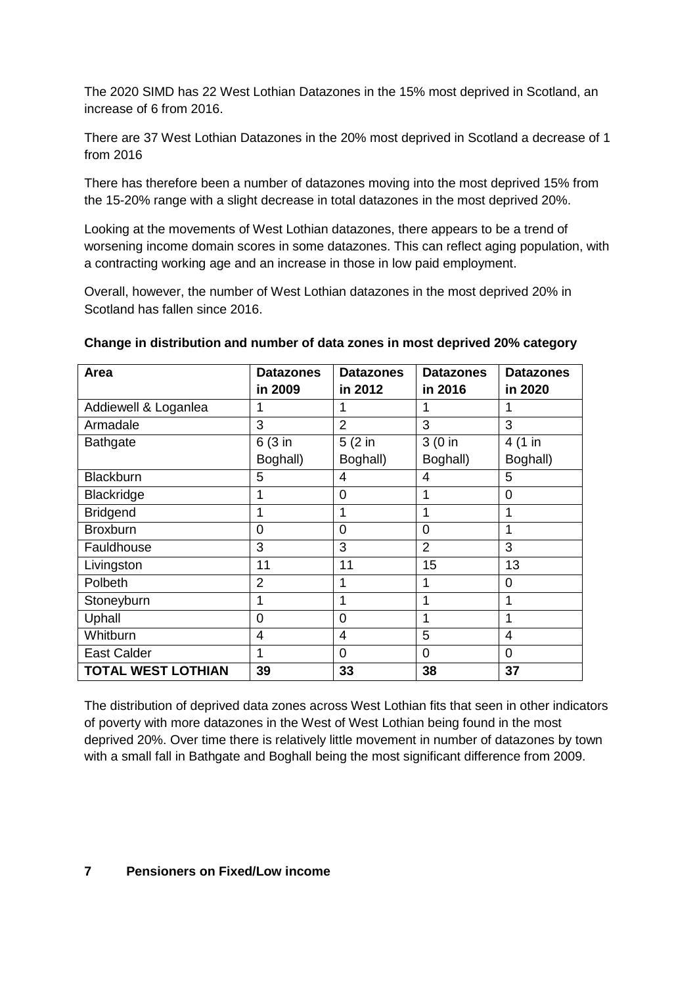The 2020 SIMD has 22 West Lothian Datazones in the 15% most deprived in Scotland, an increase of 6 from 2016.

There are 37 West Lothian Datazones in the 20% most deprived in Scotland a decrease of 1 from 2016

There has therefore been a number of datazones moving into the most deprived 15% from the 15-20% range with a slight decrease in total datazones in the most deprived 20%.

Looking at the movements of West Lothian datazones, there appears to be a trend of worsening income domain scores in some datazones. This can reflect aging population, with a contracting working age and an increase in those in low paid employment.

Overall, however, the number of West Lothian datazones in the most deprived 20% in Scotland has fallen since 2016.

| Area                      | <b>Datazones</b> | <b>Datazones</b> | <b>Datazones</b> | <b>Datazones</b> |
|---------------------------|------------------|------------------|------------------|------------------|
|                           | in 2009          | in 2012          | in 2016          | in 2020          |
| Addiewell & Loganlea      | 1                | 1                | 1                | 1                |
| Armadale                  | 3                | $\overline{2}$   | 3                | 3                |
| <b>Bathgate</b>           | 6 (3 in          | $5(2)$ in        | $3(0)$ in        | 4 (1 in          |
|                           | Boghall)         | Boghall)         | Boghall)         | Boghall)         |
| <b>Blackburn</b>          | 5                | 4                | 4                | 5                |
| Blackridge                | 1                | 0                | 1                | 0                |
| <b>Bridgend</b>           | 1                | 1                | 1                | 1                |
| <b>Broxburn</b>           | $\overline{0}$   | 0                | $\Omega$         | 1                |
| Fauldhouse                | 3                | 3                | $\overline{2}$   | 3                |
| Livingston                | 11               | 11               | 15               | 13               |
| Polbeth                   | $\overline{2}$   | 1                |                  | 0                |
| Stoneyburn                | 1                | 1                | 1                | 1                |
| Uphall                    | 0                | 0                |                  | 1                |
| Whitburn                  | $\overline{4}$   | 4                | 5                | 4                |
| <b>East Calder</b>        | 1                | 0                | 0                | 0                |
| <b>TOTAL WEST LOTHIAN</b> | 39               | 33               | 38               | 37               |

#### **Change in distribution and number of data zones in most deprived 20% category**

The distribution of deprived data zones across West Lothian fits that seen in other indicators of poverty with more datazones in the West of West Lothian being found in the most deprived 20%. Over time there is relatively little movement in number of datazones by town with a small fall in Bathgate and Boghall being the most significant difference from 2009.

#### **7 Pensioners on Fixed/Low income**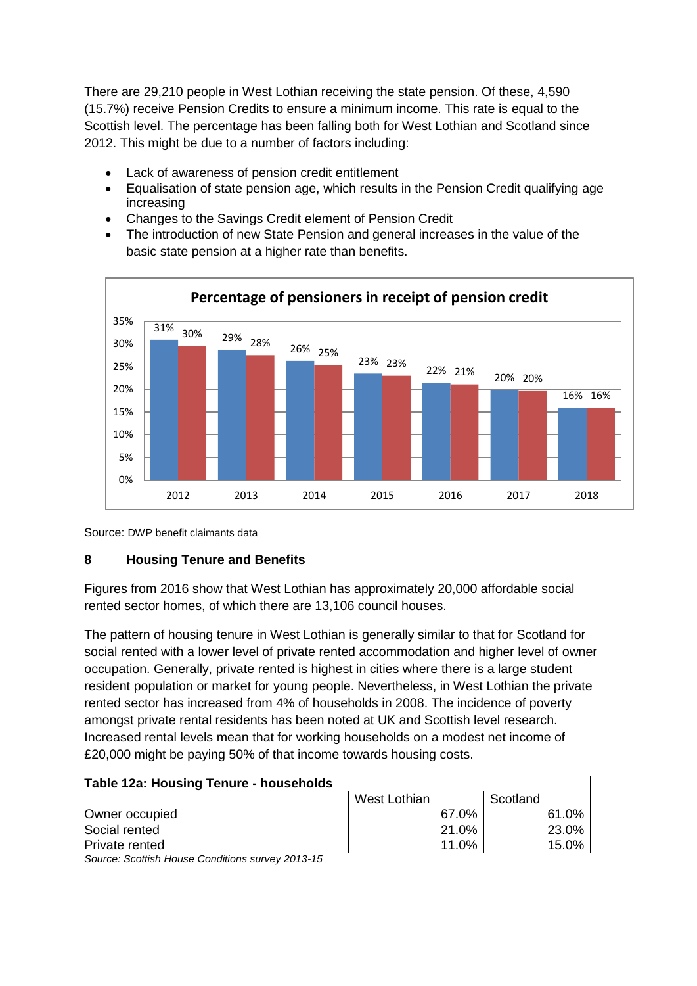There are 29,210 people in West Lothian receiving the state pension. Of these, 4,590 (15.7%) receive Pension Credits to ensure a minimum income. This rate is equal to the Scottish level. The percentage has been falling both for West Lothian and Scotland since 2012. This might be due to a number of factors including:

- Lack of awareness of pension credit entitlement
- Equalisation of state pension age, which results in the Pension Credit qualifying age increasing
- Changes to the Savings Credit element of Pension Credit
- The introduction of new State Pension and general increases in the value of the basic state pension at a higher rate than benefits.



Source: DWP benefit claimants data

#### **8 Housing Tenure and Benefits**

Figures from 2016 show that West Lothian has approximately 20,000 affordable social rented sector homes, of which there are 13,106 council houses.

The pattern of housing tenure in West Lothian is generally similar to that for Scotland for social rented with a lower level of private rented accommodation and higher level of owner occupation. Generally, private rented is highest in cities where there is a large student resident population or market for young people. Nevertheless, in West Lothian the private rented sector has increased from 4% of households in 2008. The incidence of poverty amongst private rental residents has been noted at UK and Scottish level research. Increased rental levels mean that for working households on a modest net income of £20,000 might be paying 50% of that income towards housing costs.

| Table 12a: Housing Tenure - households |              |          |  |  |  |  |
|----------------------------------------|--------------|----------|--|--|--|--|
|                                        | West Lothian | Scotland |  |  |  |  |
| Owner occupied                         | 67.0%        | 61.0%    |  |  |  |  |
| Social rented                          | 21.0%        | 23.0%    |  |  |  |  |
| Private rented                         | 11.0%        | 15.0%    |  |  |  |  |

*Source: Scottish House Conditions survey 2013-15*